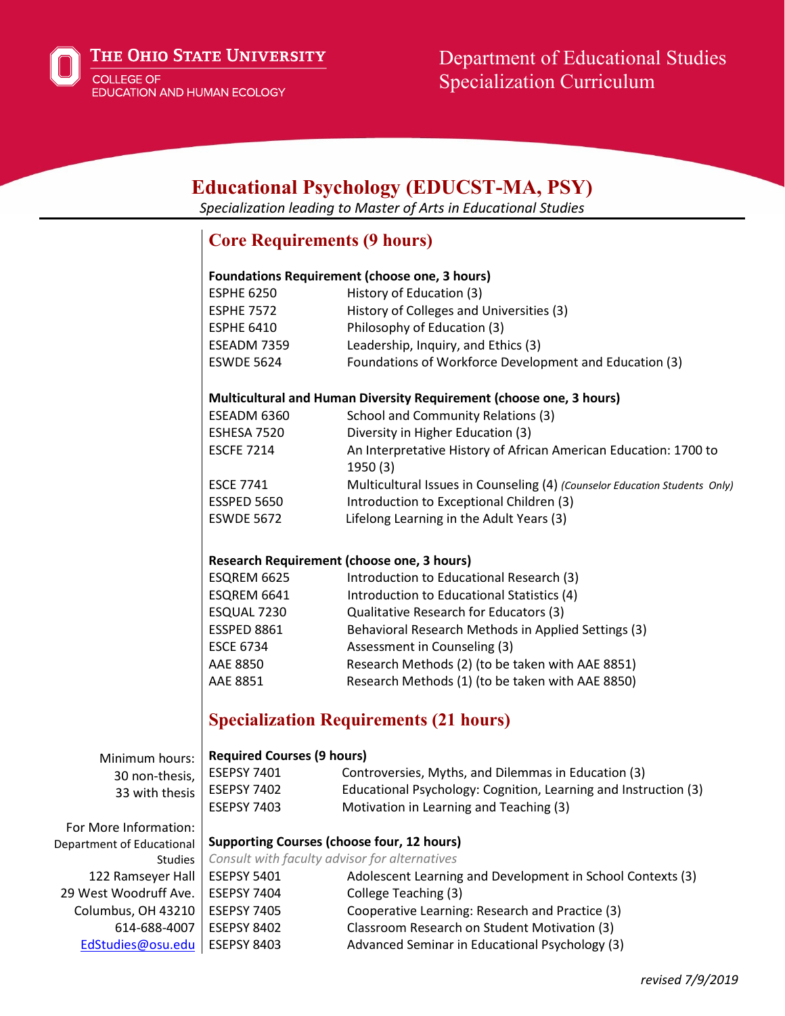

 $E$ **EXTECTE BLACKA** 

| EQUCATIONAL PSYCHOLOGY (EDUCS I -MIA, PSY)<br>Specialization leading to Master of Arts in Educational Studies |                                                                     |                                                                             |
|---------------------------------------------------------------------------------------------------------------|---------------------------------------------------------------------|-----------------------------------------------------------------------------|
|                                                                                                               |                                                                     | <b>Core Requirements (9 hours)</b>                                          |
|                                                                                                               | <b>Foundations Requirement (choose one, 3 hours)</b>                |                                                                             |
|                                                                                                               | <b>ESPHE 6250</b>                                                   | History of Education (3)                                                    |
|                                                                                                               | <b>ESPHE 7572</b>                                                   | History of Colleges and Universities (3)                                    |
|                                                                                                               | <b>ESPHE 6410</b>                                                   | Philosophy of Education (3)                                                 |
|                                                                                                               | ESEADM 7359                                                         | Leadership, Inquiry, and Ethics (3)                                         |
|                                                                                                               | <b>ESWDE 5624</b>                                                   | Foundations of Workforce Development and Education (3)                      |
|                                                                                                               | Multicultural and Human Diversity Requirement (choose one, 3 hours) |                                                                             |
|                                                                                                               | ESEADM 6360                                                         | School and Community Relations (3)                                          |
|                                                                                                               | ESHESA 7520                                                         | Diversity in Higher Education (3)                                           |
|                                                                                                               | <b>ESCFE 7214</b>                                                   | An Interpretative History of African American Education: 1700 to<br>1950(3) |
|                                                                                                               | <b>ESCE 7741</b>                                                    | Multicultural Issues in Counseling (4) (Counselor Education Students Only)  |
|                                                                                                               | <b>ESSPED 5650</b>                                                  | Introduction to Exceptional Children (3)                                    |
|                                                                                                               | <b>ESWDE 5672</b>                                                   | Lifelong Learning in the Adult Years (3)                                    |
|                                                                                                               |                                                                     |                                                                             |
|                                                                                                               | Research Requirement (choose one, 3 hours)                          |                                                                             |
|                                                                                                               | ESQREM 6625                                                         | Introduction to Educational Research (3)                                    |
|                                                                                                               | ESQREM 6641                                                         | Introduction to Educational Statistics (4)                                  |
|                                                                                                               | ESQUAL 7230                                                         | Qualitative Research for Educators (3)                                      |
|                                                                                                               | ESSPED 8861                                                         | Behavioral Research Methods in Applied Settings (3)                         |
|                                                                                                               | <b>ESCE 6734</b>                                                    | Assessment in Counseling (3)                                                |
|                                                                                                               | AAE 8850                                                            | Research Methods (2) (to be taken with AAE 8851)                            |
|                                                                                                               | AAE 8851                                                            | Research Methods (1) (to be taken with AAE 8850)                            |
|                                                                                                               | <b>Specialization Requirements (21 hours)</b>                       |                                                                             |
| Minimum hours:                                                                                                | <b>Required Courses (9 hours)</b>                                   |                                                                             |
| 30 non-thesis,                                                                                                | <b>ESEPSY 7401</b>                                                  | Controversies, Myths, and Dilemmas in Education (3)                         |
| 33 with thesis                                                                                                | <b>ESEPSY 7402</b>                                                  | Educational Psychology: Cognition, Learning and Instruction (3)             |
|                                                                                                               | <b>ESEPSY 7403</b>                                                  | Motivation in Learning and Teaching (3)                                     |
| For More Information:                                                                                         |                                                                     |                                                                             |
| Department of Educational                                                                                     | <b>Supporting Courses (choose four, 12 hours)</b>                   |                                                                             |
| <b>Studies</b>                                                                                                | Consult with faculty advisor for alternatives                       |                                                                             |
| 122 Ramseyer Hall                                                                                             | <b>ESEPSY 5401</b>                                                  | Adolescent Learning and Development in School Contexts (3)                  |
| 29 West Woodruff Ave.                                                                                         | <b>ESEPSY 7404</b>                                                  | College Teaching (3)                                                        |
| Columbus, OH 43210                                                                                            | <b>ESEPSY 7405</b>                                                  | Cooperative Learning: Research and Practice (3)                             |
| 614-688-4007                                                                                                  | <b>ESEPSY 8402</b>                                                  | Classroom Research on Student Motivation (3)                                |
| EdStudies@osu.edu                                                                                             | <b>ESEPSY 8403</b>                                                  | Advanced Seminar in Educational Psychology (3)                              |